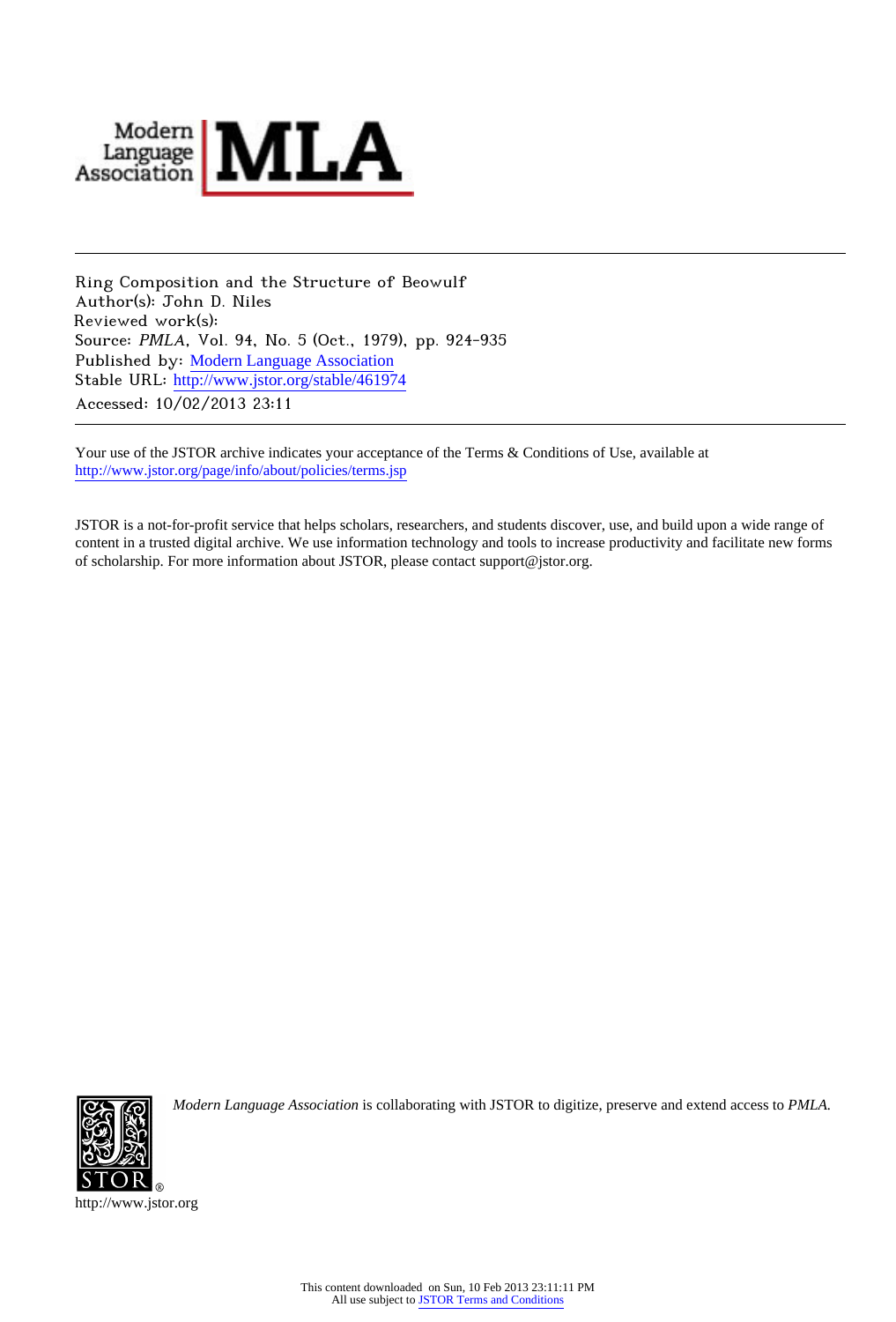

Ring Composition and the Structure of Beowulf Author(s): John D. Niles Reviewed work(s): Source: PMLA, Vol. 94, No. 5 (Oct., 1979), pp. 924-935 Published by: [Modern Language Association](http://www.jstor.org/action/showPublisher?publisherCode=mla) Stable URL: http://www.jstor.org/stable/461974 Accessed: 10/02/2013 23:11

Your use of the JSTOR archive indicates your acceptance of the Terms & Conditions of Use, available at <http://www.jstor.org/page/info/about/policies/terms.jsp>

JSTOR is a not-for-profit service that helps scholars, researchers, and students discover, use, and build upon a wide range of content in a trusted digital archive. We use information technology and tools to increase productivity and facilitate new forms of scholarship. For more information about JSTOR, please contact support@jstor.org.



*Modern Language Association* is collaborating with JSTOR to digitize, preserve and extend access to *PMLA.*

http://www.jstor.org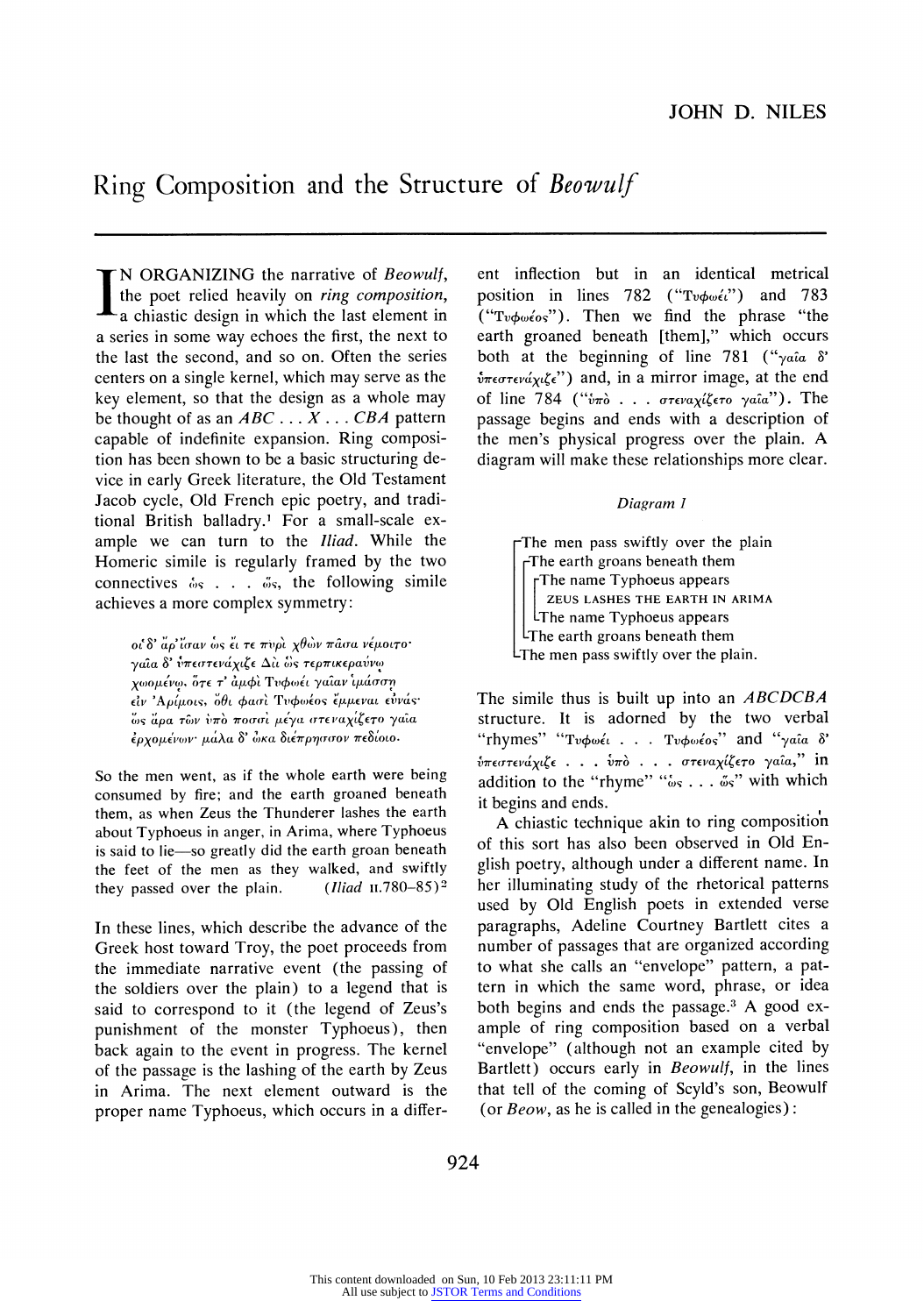# **Ring Composition and the Structure of Beowulf**

**IN ORGANIZING the narrative of Beowulf, the poet relied heavily on ring composition, a** chiastic design in which the last element in **a series in some way echoes the first, the next to the last the second, and so on. Often the series centers on a single kernel, which may serve as the key element, so that the design as a whole may be thought of as an ABC ... X. .. CBA pattern capable of indefinite expansion. Ring composition has been shown to be a basic structuring device in early Greek literature, the Old Testament Jacob cycle, Old French epic poetry, and traditional British balladry.1 For a small-scale example we can turn to the Iliad. While the Homeric simile is regularly framed by the two connectives ,, ... J,, the following simile achieves a more complex symmetry:** 

**<sup>o</sup>8' a;p' trav ), ?L T-E Tri,p X0qV 71r( ra VE/OL7TO'**   $\gamma$ αία δ' υπεστενάχιζε Διι ως τερπικεραύνω **XWCO/lVo), OTE T (a/tx Tv,(o,,L ydaaV Lia(T(Tor**   $\epsilon \hat{i}$ ν 'Αρίμοις, <sup>'</sup>όθι φασι Τυφωέος έμμεναι ευνάς' **) (, apa TO)V ,7rO 7r0o(rrL ieya (TTE V'aXtEro yata EpXo,I'ro)v' tiaa 8' o)Ka 8E7K( rpr(Trov 7reStoto.** 

**So the men went, as if the whole earth were being consumed by fire; and the earth groaned beneath them, as when Zeus the Thunderer lashes the earth about Typhoeus in anger, in Arima, where Typhoeus is said to lie-so greatly did the earth groan beneath**  the feet of the men as they walked, and swiftly they passed over the plain. (*Iliad*  $\pi$ . 780–85)<sup>2</sup> they passed over the plain.

**In these lines, which describe the advance of the Greek host toward Troy, the poet proceeds from the immediate narrative event (the passing of the soldiers over the plain) to a legend that is said to correspond to it (the legend of Zeus's punishment of the monster Typhoeus), then back again to the event in progress. The kernel of the passage is the lashing of the earth by Zeus in Arima. The next element outward is the proper name Typhoeus, which occurs in a differ-** **ent inflection but in an identical metrical**  position in lines 782  $("Tv\phi\omega\epsilon\epsilon")$  and 783 **("Tv4wfoo"). Then we find the phrase "the earth groaned beneath [them]," which occurs**  both at the beginning of line 781 ("yaîa 8"  $\delta \pi \epsilon \sigma \tau \epsilon \nu \alpha \chi \zeta \epsilon$ <sup>"</sup>) and, in a mirror image, at the end **of line 784 ("υπό... στεναχίζετο γαΐα"). The passage begins and ends with a description of the men's physical progress over the plain. A diagram will make these relationships more clear.** 

#### **Diagram 1**

**-The men pass swiftly over the plain -The earth groans beneath them -The name Typhoeus appears ZEUS LASHES THE EARTH IN ARIMA -The name Typhoeus appears -The earth groans beneath them -The men pass swiftly over the plain.** 

**The simile thus is built up into an ABCDCBA structure. It is adorned by the two verbal "rhymes"** "Τυφωέι . . . Τυφωέος" and "γαΐα δ' **rercTevdXtCe . . . Vr \*O . . .UTrvaxtgero yaia," in**  addition to the "rhyme" " $\omega$ s . . .  $\omega$ s" with which **it begins and ends.** 

**A chiastic technique akin to ring composition of this sort has also been observed in Old English poetry, although under a different name. In her illuminating study of the rhetorical patterns used by Old English poets in extended verse paragraphs, Adeline Courtney Bartlett cites a number of passages that are organized according to what she calls an "envelope" pattern, a pattern in which the same word, phrase, or idea both begins and ends the passage.3 A good example of ring composition based on a verbal "envelope" (although not an example cited by Bartlett) occurs early in Beowulf, in the lines that tell of the coming of Scyld's son, Beowulf (or Beow, as he is called in the genealogies):**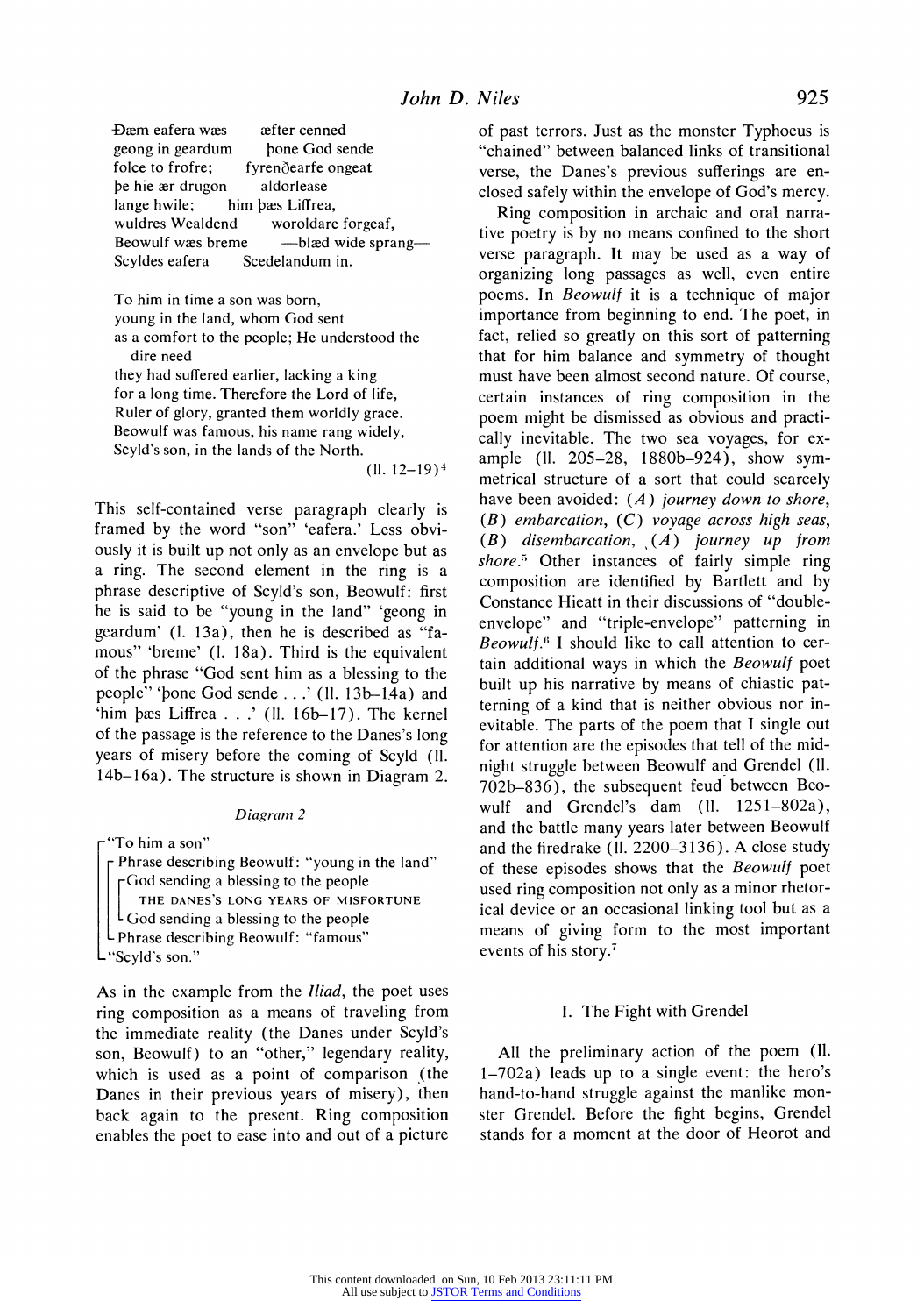framed by the word "son" 'eafera.' Less obvithanks by the word some calculation. (B) disembarcation, (A) journey up from<br>a ring. The second element in the ring is a<br>a ring. The second element in the ring is a<br>composition are identified by Bartlett and by **... The second component in the ring is a** composition are identified by Bartlett and by phrase descriptive of Scyld's son, Beowulf: first constance Highert in their discussions of "doublea ring. The second element in the ring is a **here** is said to be "young in the land" 'geong in **Constance Hieatt in their discussions of "double-** he is said to be "young in the land" 'geong in **Constance Hieatt in their discussions of "double-** envelope" and "tripl geardum' (l. 13a), then he is described as "fa-<br>mous" 'breme' (l. 18a). Third is the equivalent<br>the state of the patternal in the parameters of of the phrase "God sent him as a blessing to the tain additional ways in which the *Beowulf* poet<br>recepts" then Cod sent in as a blessing to the built up his narrative by means of chiastic patpeople" 'pone God sende . . .' (11. 13b-14a) and <sup>built</sup> up his harrative by means of chiastic pat-<br><sup>thin</sup> the low Life is a little 17.<sup>3</sup> Fig. 1.1. Line 1.1. **Fig. 1.1. https://www.patricipality.com/**  $^{\circ}$ him bæs Liffrea  $\ldots$   $^{\circ}$  (ll. 16b-17). The kernel of the passage is the reference to the Danes's long<br>years of misery before the coming of Scyld (ll.<br>the passage is the reference to the Danes's long<br>for attention are the episodes that tell of the mid-<br>night struggle betwe

**THE DANES'S LONG YEARS OF MISFORTUNE**   $\lfloor \frac{L}{2} \rfloor$  God sending a blessing to the people **Phrase** describing Beowulf: "famous"

**As in the example from the Iliad, the poet uses ring composition as a means of traveling from the immediate reality (the Danes under Scyld's son, Beowulf) to an "other," legendary reality, which is used as a point of comparison (the Danes in their previous years of misery), then back again to the present. Ring composition enables the poet to ease into and out of a picture** 

**Exam eafera was after cenned of past terrors. Just as the monster Typhoeus is geong in geardum** bone God sende "chained" between balanced links of transitional geong in geardum bone God sende<br>
folce to frofre; fyrendearfe ongeat<br> **Example 2** verse the Danes's previous sufferings are enfolce to frofre; fyren0earfe ongeat verse, the Danes's previous sufferings are en-<br>
pe hie ar drugon aldorlease closed safely within the envelope of God's mercy.

lange hwile; him bæs Liffrea,<br>
wuldres Wealdend woroldare forgeaf,<br>
Beowulf wæs breme —blæd wide sprang—<br>
Scyldes eafera Scedelandum in.<br>
Scyldes eafera Scedelandum in. verse paragraph. It may be used as a way of **organizing long passages as well, even entire**  To him in time a son was born,<br>young in the land, whom God sent<br>in poems. In *Beowulf* it is a technique of major<br>importance from beginning to end. The poet, in young in the land, whom God sent importance from beginning to end. The poet, in as a comfort to the people; He understood the **fact**, relied so greatly on this sort of patterning a comfort to the people; He understood the **fact, relied so greatly on this sort of patterning**<br>that for him balance and symmetry of thought dire need<br>that for him balance and symmetry of thought<br>they had suffered earlier, lacking a king<br>must have been almost second nature. Of course, they had suffered earlier, lacking a king must have been almost second nature. Of course,<br>
for a long time. Therefore the Lord of life, errain instances of ring composition in the for a long time. Therefore the Lord of life, certain instances of ring composition in the <br>Ruler of glory, granted them worldly grace. **Ruler of glory, granted them worldly grace.** poem might be dismissed as obvious and practi-<br>Beowulf was famous, his name rang widely, cally inevitable. The two sea voyages, for ex-<br>Scyld's son, in the lands of the North. **Solution** 12–19)<sup>4</sup> ample (II. 205–28, 1880b–924), show sym**metrical structure of a sort that could scarcely**  This self-contained verse paragraph clearly is  $(B)$  *embarcation*,  $(C)$  voyage across high seas, 14b-16a). The structure is shown in Diagram 2. **ight struggle between Beowulf and Grendel (ii)**<br>
702b-836), the subsequent feud between Beo-**Diagram 2** *wulf and Grendel's dam (11. 1251–802a),* $\frac{1}{2}$ **and the battle many years later between Beowulf To him a son"** and the firedrake (11. 2200–3136). A close study<br> **F** Phrase describing Beowulf: "young in the land" and these enjodes shows that the *Reowult* noet **Furase describing Beowulf:** "young in the land" of these episodes shows that the *Beowulf* poet  $\Gamma$  God sending a blessing to the people used ring composition not only as a minor rhetor**ical device or an occasional linking tool but as a** Letter the secribing Beowulf: "famous" receptions of giving form to the most important events of his story.<sup>7</sup> events of his story.<sup>7</sup>

### **I. The Fight with Grendel**

**All the preliminary action of the poem (11. 1-702a) leads up to a single event: the hero's hand-to-hand struggle against the manlike monster Grendel. Before the fight begins, Grendel stands for a moment at the door of Heorot and**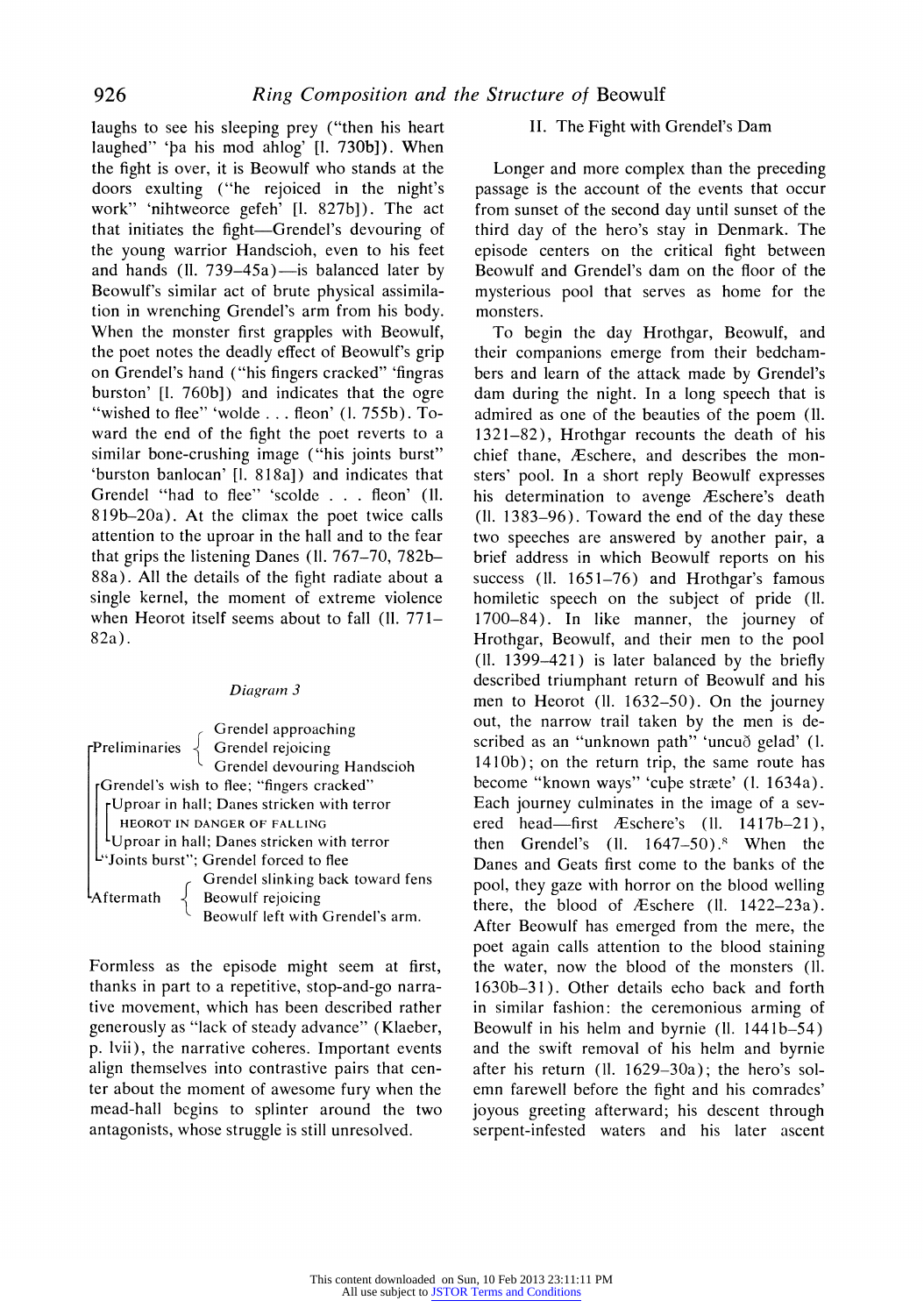**laughs to see his sleeping prey ("then his heart laughed" 'ba his mod ahlog' [1. 730b]). When the fight is over, it is Beowulf who stands at the doors exulting ("he rejoiced in the night's work" 'nihtweorce gefeh' [I. 827b]). The act that initiates the fight-Grendel's devouring of the young warrior Handscioh, even to his feet**  and hands (11. 739–45a)—is balanced later by **Beowulf's similar act of brute physical assimilation in wrenching Grendel's arm from his body. When the monster first grapples with Beowulf, the poet notes the deadly effect of Beowulf's grip on Grendel's hand ("his fingers cracked" 'fingras burston' [1. 760b]) and indicates that the ogre "wished to flee" 'wolde . . . fleon' (1. 755b). Toward the end of the fight the poet reverts to a similar bone-crushing image ("his joints burst" 'burston banlocan' [1. 818a]) and indicates that Grendel "had to flee" 'scolde . . . fleon' (11. 819b-20a). At the climax the poet twice calls attention to the uproar in the hall and to the fear that grips the listening Danes (11. 767-70, 782b-88a). All the details of the fight radiate about a single kernel, the moment of extreme violence when Heorot itself seems about to fall (11. 771- 82a).** 

#### **Diagram 3**

| $\begin{array}{r}\n\textbf{Preliminaries} \begin{cases}\n\textbf{Grendel approaching} \\ \textbf{Grendel rejecting} \\ \textbf{Grendel devouring Handbook}\n\end{cases}\n\end{array}$ |
|---------------------------------------------------------------------------------------------------------------------------------------------------------------------------------------|
|                                                                                                                                                                                       |
|                                                                                                                                                                                       |
| Grendel's wish to flee; "fingers cracked"                                                                                                                                             |
| rUproar in hall; Danes stricken with terror                                                                                                                                           |
| HEOROT IN DANGER OF FALLING                                                                                                                                                           |
| <sup>L</sup> Uproar in hall; Danes stricken with terror                                                                                                                               |
| L"Joints burst"; Grendel forced to flee                                                                                                                                               |
| Grendel slinking back toward fens                                                                                                                                                     |
|                                                                                                                                                                                       |
| $\downarrow$ Aftermath $\left\{\begin{array}{c}$ Beowulf rejoicing<br>Beowulf left with Grendel's arm.                                                                                |
|                                                                                                                                                                                       |

**Formless as the episode might seem at first, thanks in part to a repetitive, stop-and-go narrative movement, which has been described rather generously as "lack of steady advance" (Klaeber, p. lvii), the narrative coheres. Important events align themselves into contrastive pairs that center about the moment of awesome fury when the mead-hall begins to splinter around the two antagonists, whose struggle is still unresolved.** 

## **II. The Fight with Grendel's Dam**

**Longer and more complex than the preceding passage is the account of the events that occur from sunset of the second day until sunset of the third day of the hero's stay in Denmark. The episode centers on the critical fight between Beowulf and Grendel's dam on the floor of the mysterious pool that serves as home for the monsters.** 

**To begin the day Hrothgar, Beowulf, and their companions emerge from their bedchambers and learn of the attack made by Grendel's dam during the night. In a long speech that is admired as one of the beauties of the poem (11. 1321-82), Hrothgar recounts the death of his**  chief thane, *Æschere*, and describes the mon**sters' pool. In a short reply Beowulf expresses his determination to avenge AEschere's death (11. 1383-96). Toward the end of the day these two speeches are answered by another pair, a brief address in which Beowulf reports on his success (11. 1651-76) and Hrothgar's famous homiletic speech on the subject of pride (11. 1700-84). In like manner, the journey of Hrothgar, Beowulf, and their men to the pool (11. 1399-421) is later balanced by the briefly described triumphant return of Beowulf and his men to Heorot (11. 1632-50). On the journey out, the narrow trail taken by the men is de**scribed as an "unknown path" 'uncuð gelad' (l. **1410b); on the return trip, the same route has**  become "known ways" 'cube stræte' (l. 1634a). **Each journey culminates in the image of a sev**ered head—first Æschere's (ll. 1417b-21), then Grendel's (II. 1647–50).<sup>8</sup> When the **Danes and Geats first come to the banks of the pool, they gaze with horror on the blood welling there, the blood of Eschere (11. 1422-23a). After Beowulf has emerged from the mere, the poet again calls attention to the blood staining the water, now the blood of the monsters (11. 1630b-31). Other details echo back and forth in similar fashion: the ceremonious arming of Beowulf in his helm and byrnie (11. 1441b-54) and the swift removal of his helm and byrnie after his return (11. 1629-30a); the hero's solemn farewell before the fight and his comrades' joyous greeting afterward; his descent through serpent-infested waters and his later ascent**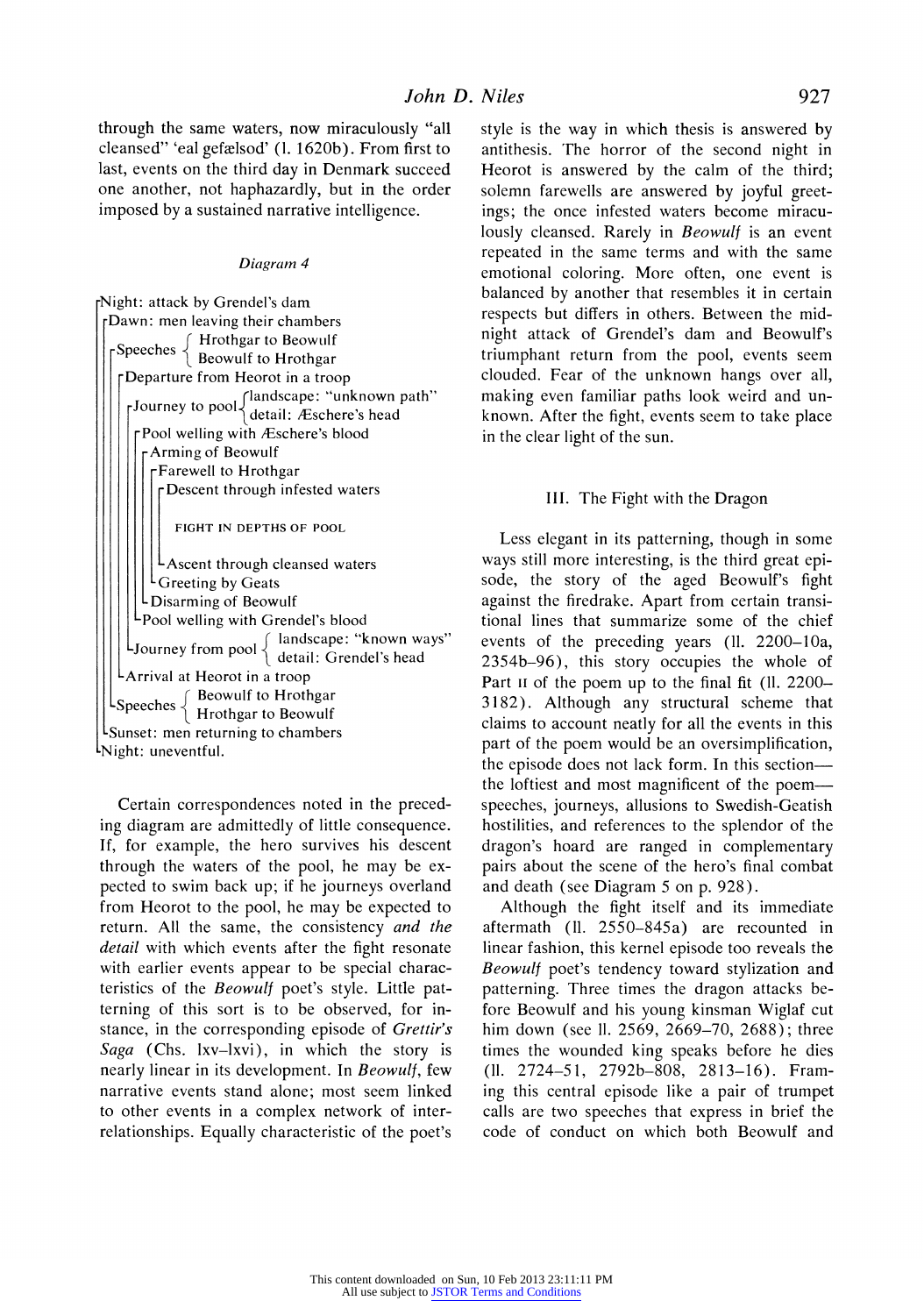**through the same waters, now miraculously "all cleansed" 'eal gefaelsod' (1. 1620b). From first to last, events on the third day in Denmark succeed one another, not haphazardly, but in the order imposed by a sustained narrative intelligence.** 

#### **Diagram 4**

**-Night: attack by Grendel's dam -Dawn: men leaving their chambers S Hrothgar to Beowulf Speeches Beowulf to Hrothgar -Departure from Heorot in a troop landscape: "unknown path"**  ourney to pool<sup>1</sup> detail: *Æschere's head* **-Pool welling with /Eschere's blood -Arming of Beowulf -Farewell to Hrothgar -Descent through infested waters FIGHT IN DEPTHS OF POOL -Ascent through cleansed waters -Greeting by Geats -Disarming of Beowulf -Pool welling with Grendel's blood**  L<sub>Journey</sub> from pool  $\begin{cases} \text{ landscape: "known ways"} \\ \text{detail: Grendel's head} \end{cases}$ **-Arrival at Heorot in a troop C Beowulf to Hrothgar Expeeches** | Hrothgar to Beowulf **-Sunset: men returning to chambers -Night: uneventful.** 

**Certain correspondences noted in the preceding diagram are admittedly of little consequence. If, for example, the hero survives his descent through the waters of the pool, he may be expected to swim back up; if he journeys overland from Heorot to the pool, he may be expected to return. All the same, the consistency and the detail with which events after the fight resonate with earlier events appear to be special characteristics of the Beowulf poet's style. Little patterning of this sort is to be observed, for instance, in the corresponding episode of Grettir's Saga (Chs. lxv-lxvi), in which the story is nearly linear in its development. In Beowulf, few narrative events stand alone; most seem linked to other events in a complex network of interrelationships. Equally characteristic of the poet's**  **style is the way in which thesis is answered by antithesis. The horror of the second night in Heorot is answered by the calm of the third; solemn farewells are answered by joyful greetings; the once infested waters become miraculously cleansed. Rarely in Beowulf is an event repeated in the same terms and with the same emotional coloring. More often, one event is balanced by another that resembles it in certain respects but differs in others. Between the midnight attack of Grendel's dam and Beowulf's triumphant return from the pool, events seem clouded. Fear of the unknown hangs over all, making even familiar paths look weird and unknown. After the fight, events seem to take place in the clear light of the sun.** 

#### **III. The Fight with the Dragon**

**Less elegant in its patterning, though in some ways still more interesting, is the third great episode, the story of the aged Beowulf's fight against the firedrake. Apart from certain transitional lines that summarize some of the chief events of the preceding years (11. 2200-10a, 2354b-96), this story occupies the whole of**  Part **II** of the poem up to the final fit (II. 2200– **3182). Although any structural scheme that claims to account neatly for all the events in this part of the poem would be an oversimplification, the episode does not lack form. In this sectionthe loftiest and most magnificent of the poemspeeches, journeys, allusions to Swedish-Geatish hostilities, and references to the splendor of the dragon's hoard are ranged in complementary pairs about the scene of the hero's final combat and death (see Diagram 5 on p. 928).** 

**Although the fight itself and its immediate aftermath (11. 2550-845a) are recounted in linear fashion, this kernel episode too reveals the Beowulf poet's tendency toward stylization and patterning. Three times the dragon attacks before Beowulf and his young kinsman Wiglaf cut him down (see 11. 2569, 2669-70, 2688); three times the wounded king speaks before he dies (11. 2724-51, 2792b-808, 2813-16). Framing this central episode like a pair of trumpet calls are two speeches that express in brief the code of conduct on which both Beowulf and**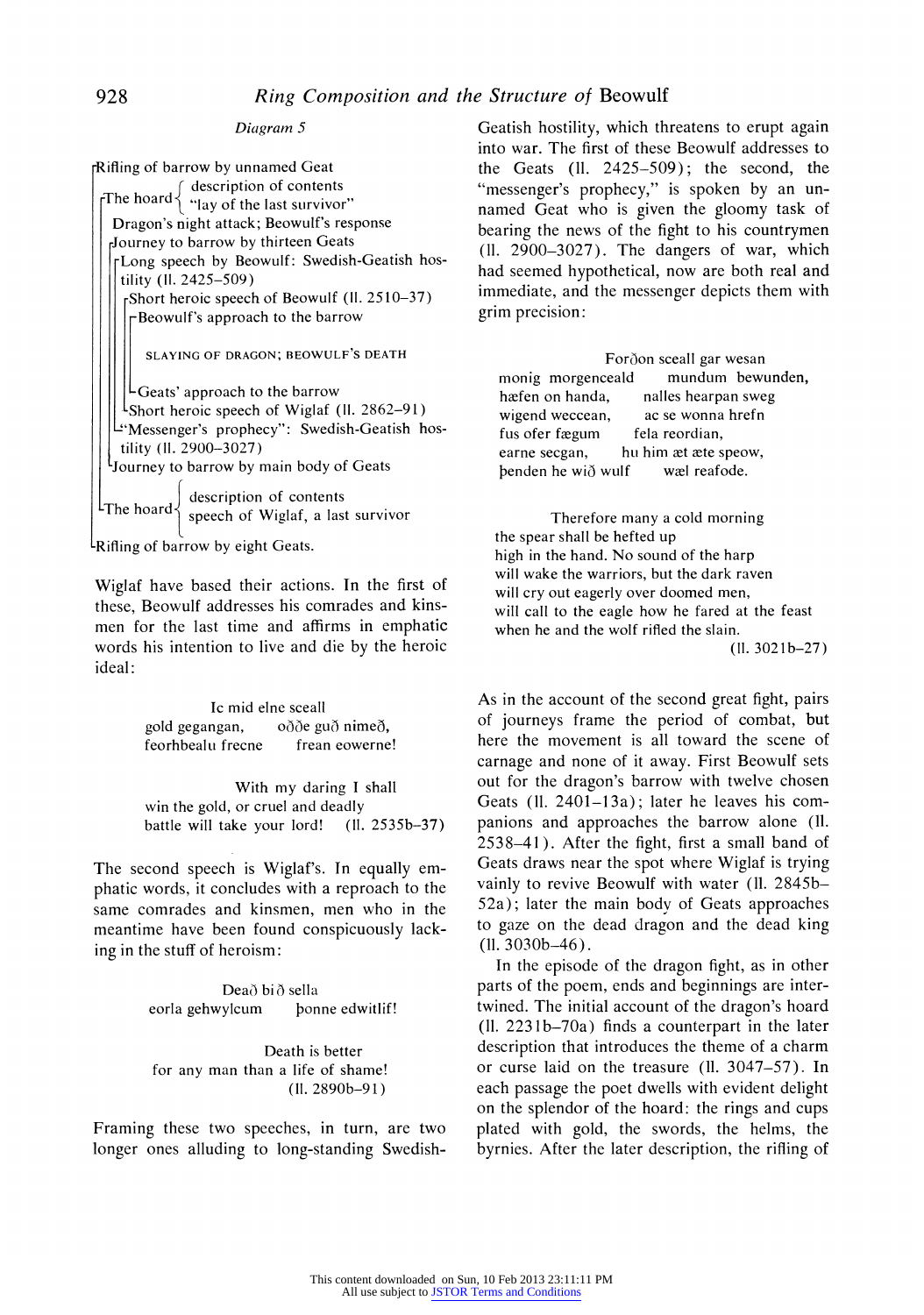### **Diagram 5**

**Rifling of barrow by unnamed Geat**<br>  $\begin{bmatrix} \text{description of contents} \end{bmatrix}$ The hoard  $\begin{cases}$  description of contents  $\text{``lay of the last survive"} \end{cases}$ **Dragon's night attack; Beowulf's response -Journey to barrow by thirteen Geats -Long speech by Beowulf: Swedish-Geatish hostility (11. 2425-509) -Short heroic speech of Beowulf (11. 2510-37) -Beowulf's approach to the barrow SLAYING OF DRAGON; BEOWULF'S DEATH -Geats' approach to the barrow -Short heroic speech of Wiglaf (11. 2862-91) "Messenger's prophecy": Swedish-Geatish hostility (11. 2900-3027) -Journey to barrow by main body of Geats description of contents**  L<sub>The hoard</sub> speech of Wiglaf, a last survivor

**-Rifling of barrow by eight Geats.** 

**Wiglaf have based their actions. In the first of these, Beowulf addresses his comrades and kinsmen for the last time and affirms in emphatic words his intention to live and die by the heroic ideal:** 

> **Ic mid elne sceall**  gold gegangan, oððe guð nimeð,<br>feorhbealu frecne frean eowerne! feorhbealu frecne

**With my daring I shall**  win the gold, or cruel and deadly<br>battle will take your lord! (Il. 2535b–37) battle will take your lord!

**The second speech is Wiglaf's. In equally emphatic words, it concludes with a reproach to the same comrades and kinsmen, men who in the meantime have been found conspicuously lacking in the stuff of heroism:** 

> **Dea) bi 6 sella**  eorla gehwylcum bonne edwitlif!

**Death is better for any man than a life of shame! (11. 2890b-91)** 

**Framing these two speeches, in turn, are two longer ones alluding to long-standing Swedish-** **Geatish hostility, which threatens to erupt again into war. The first of these Beowulf addresses to the Geats (11. 2425-509); the second, the "messenger's prophecy," is spoken by an unnamed Geat who is given the gloomy task of bearing the news of the fight to his countrymen (11. 2900-3027). The dangers of war, which had seemed hypothetical, now are both real and immediate, and the messenger depicts them with grim precision:** 

**Fordon sceall gar wesan**<br>monig morgenceald **mundum** bewu **monig morgenceald mundum bewunden,**  hæfen on handa, nalles hearpan sweg<br>wigend weccean, ac se wonna hrefn ac se wonna hrefn<br>fela reordian, fus ofer fægum<br>earne secgan, **hu him at ate speow,**<br>**if** was reafode. benden he wið wulf

**Therefore many a cold morning the spear shall be hefted up high in the hand. No sound of the harp will wake the warriors, but the dark raven will cry out eagerly over doomed men, will call to the eagle how he fared at the feast when he and the wolf rifled the slain. (11. 3021b-27)** 

**As in the account of the second great fight, pairs of journeys frame the period of combat, but here the movement is all toward the scene of carnage and none of it away. First Beowulf sets out for the dragon's barrow with twelve chosen Geats (11. 2401-13a); later he leaves his companions and approaches the barrow alone (11. 2538-41). After the fight, first a small band of Geats draws near the spot where Wiglaf is trying vainly to revive Beowulf with water (11. 2845b-52a); later the main body of Geats approaches to gaze on the dead dragon and the dead king (11.3030b-46).** 

**In the episode of the dragon fight, as in other parts of the poem, ends and beginnings are intertwined. The initial account of the dragon's hoard (11. 2231b-70a) finds a counterpart in the later description that introduces the theme of a charm or curse laid on the treasure (11. 3047-57). In each passage the poet dwells with evident delight on the splendor of the hoard: the rings and cups plated with gold, the swords, the helms, the byrnies. After the later description, the rifling of**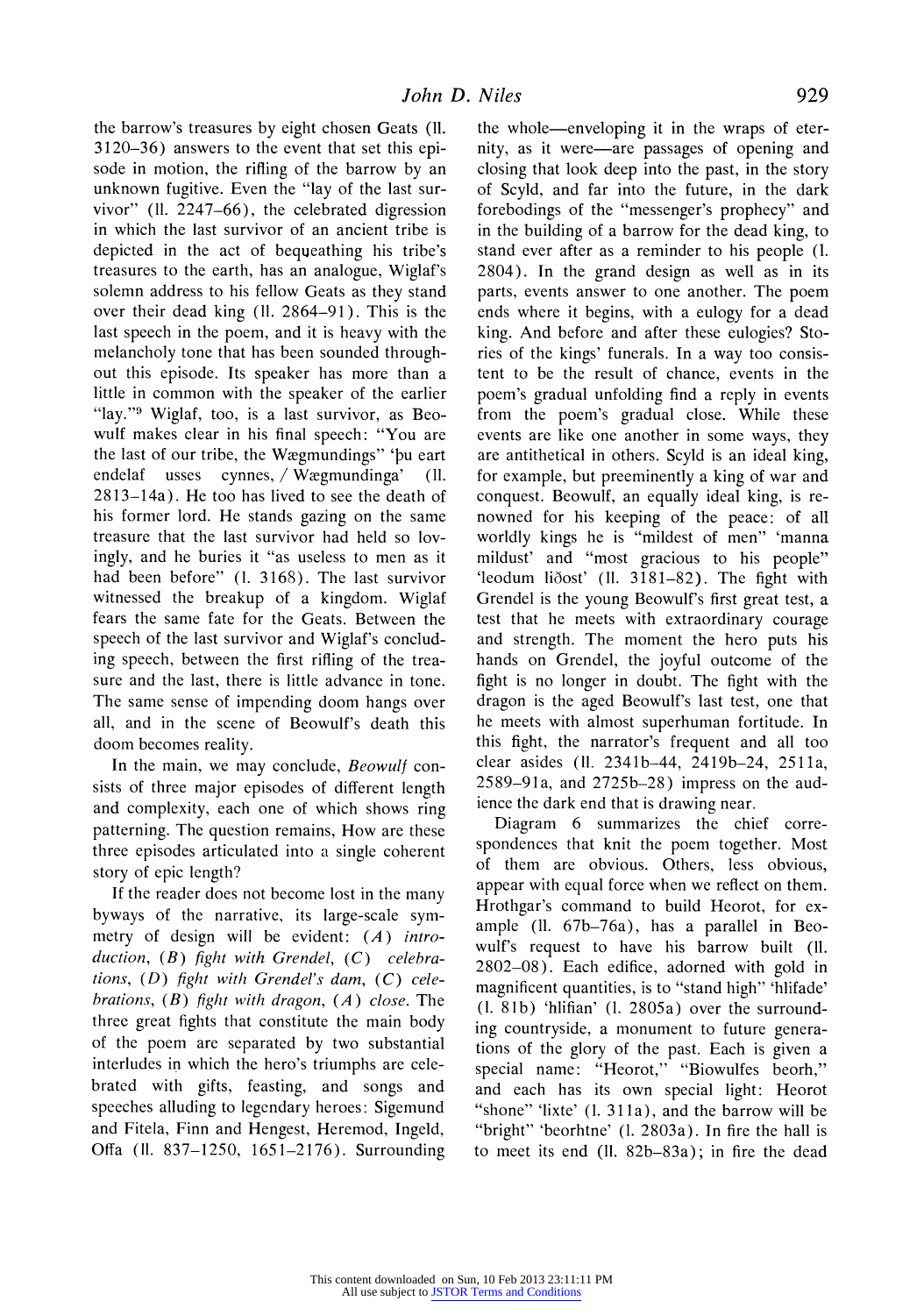**the barrow's treasures by eight chosen Geats (11. 3120-36) answers to the event that set this episode in motion, the rifling of the barrow by an unknown fugitive. Even the "lay of the last survivor" (11. 2247-66), the celebrated digression in which the last survivor of an ancient tribe is depicted in the act of bequeathing his tribe's treasures to the earth, has an analogue, Wiglaf's solemn address to his fellow Geats as they stand over their dead king (11. 2864-91). This is the last speech in the poem, and it is heavy with the melancholy tone that has been sounded throughout this episode. Its speaker has more than a little in common with the speaker of the earlier "lay."9 Wiglaf, too, is a last survivor, as Beowulf makes clear in his final speech: "You are**  the last of our tribe, the Waegmundings" 'pu eart endelaf usses cynnes, / Waegmundinga' (II. endelaf usses cynnes, / Wægmundinga' **2813-14a). He too has lived to see the death of his former lord. He stands gazing on the same treasure that the last survivor had held so lovingly, and he buries it "as useless to men as it had been before" (1. 3168). The last survivor witnessed the breakup of a kingdom. Wiglaf fears the same fate for the Geats. Between the speech of the last survivor and Wiglaf's concluding speech, between the first rifling of the treasure and the last, there is little advance in tone. The same sense of impending doom hangs over all, and in the scene of Beowulf's death this doom becomes reality.** 

**In the main, we may conclude, Beowulf consists of three major episodes of different length and complexity, each one of which shows ring patterning. The question remains, How are these three episodes articulated into a single coherent story of epic length?** 

**If the reader does not become lost in the many byways of the narrative, its large-scale symmetry of design will be evident: (A) introduction, (B) fight with Grendel, (C) celebrations, (D) fight with Grendel's dam, (C) celebrations, (B) fight with dragon, (A) close. The three great fights that constitute the main body of the poem are separated by two substantial interludes in which the hero's triumphs are celebrated with gifts, feasting, and songs and speeches alluding to legendary heroes: Sigemund and Fitela, Finn and Hengest, Heremod, Ingeld, Offa (11. 837-1250, 1651-2176). Surrounding** 

**the whole-enveloping it in the wraps of eternity, as it were-are passages of opening and closing that look deep into the past, in the story of Scyld, and far into the future, in the dark forebodings of the "messenger's prophecy" and in the building of a barrow for the dead king, to stand ever after as a reminder to his people (1. 2804). In the grand design as well as in its parts, events answer to one another. The poem ends where it begins, with a eulogy for a dead king. And before and after these eulogies? Stories of the kings' funerals. In a way too consistent to be the result of chance, events in the poem's gradual unfolding find a reply in events from the poem's gradual close. While these events are like one another in some ways, they are antithetical in others. Scyld is an ideal king, for example, but preeminently a king of war and conquest. Beowulf, an equally ideal king, is renowned for his keeping of the peace: of all worldly kings he is "mildest of men" 'manna mildust' and "most gracious to his people"**  'leodum liðost' (1l. 3181-82). The fight with **Grendel is the young Beowulf's first great test, a test that he meets with extraordinary courage and strength. The moment the hero puts his hands on Grendel, the joyful outcome of the fight is no longer in doubt. The fight with the dragon is the aged Beowulf's last test, one that he meets with almost superhuman fortitude. In this fight, the narrator's frequent and all too clear asides (11. 2341b-44, 2419b-24, 2511a, 2589-91a, and 2725b-28) impress on the audience the dark end that is drawing near.** 

**Diagram 6 summarizes the chief correspondences that knit the poem together. Most of them are obvious. Others, less obvious, appear with equal force when we reflect on them. Hrothgar's command to build Heorot, for example (11. 67b-76a), has a parallel in Beowulf's request to have his barrow built (11. 2802-08). Each edifice, adorned with gold in magnificent quantities, is to "stand high" 'hlifade' (1. 81b) 'hlifian' (1. 2805a) over the surrounding countryside, a monument to future generations of the glory of the past. Each is given a special name: "Heorot," "Biowulfes beorh," and each has its own special light: Heorot "shone" 'lixte' (1. 311a), and the barrow will be "bright" 'beorhtne' (1. 2803a). In fire the hall is to meet its end (11. 82b-83a); in fire the dead**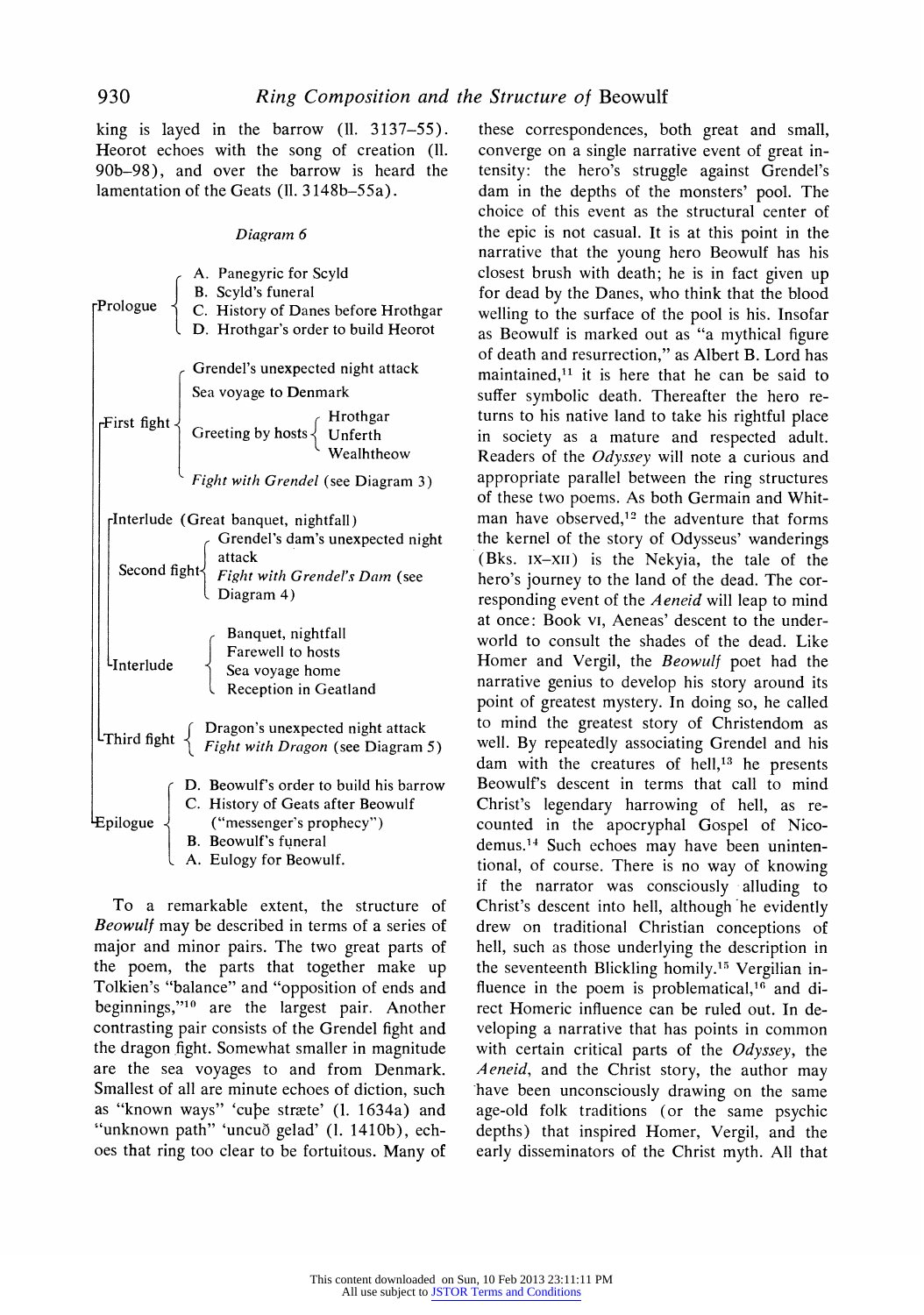**930** 

**king is layed in the barrow (11. 3137-55). Heorot echoes with the song of creation (11. 90b-98), and over the barrow is heard the lamentation of the Geats (11. 3148b-55a).** 

#### **Diagram 6**

| A. Panegyric for Scyld<br>B. Scyld's funeral<br>C. History of Danes before Hrothgar<br>D. Hrothgar's order to build Heorot                                                                        |
|---------------------------------------------------------------------------------------------------------------------------------------------------------------------------------------------------|
|                                                                                                                                                                                                   |
| First fight<br>First fight<br>First fight<br>First fight<br>Greeting by hosts<br>$\left\{\n\begin{array}{c}\n\text{Hrothgar} \\ \text{Unferth} \\ \text{Wealhtheow}\n\end{array}\n\right\}$       |
| Fight with Grendel (see Diagram 3)                                                                                                                                                                |
| Finterlude (Great banquet, nightfall)                                                                                                                                                             |
| Second fight<br>Second fight<br>$\begin{cases} \text{Greand's} \\ \text{atack} \\ \text{Eight with Grendel's } \text{Dam} \\ \text{Diagram 4} \end{cases}$                                        |
| Banquet, nightfall<br>$\left\{\begin{matrix} \text{parallel} \\ \text{Farewell to hosts} \\ \text{Sea voyage home} \\ \text{Re}( \text{Pose}^{-1}) \end{matrix}\right\}$<br>Reception in Geatland |
| Third fight $\left\{\begin{array}{c} \text{Dragon's unexpected night attack} \\ \text{Fight with Dragon (see Diagram 5)} \end{array}\right.$                                                      |
| Epilogue<br>C. History of Geats after Beowulf<br>Epilogue<br>B. Beowulf's funeral<br>A. Eulogy for Beowulf.                                                                                       |

**To a remarkable extent, the structure of Beowulf may be described in terms of a series of major and minor pairs. The two great parts of the poem, the parts that together make up Tolkien's "balance" and "opposition of ends and beginnings,"'0 are the largest pair. Another contrasting pair consists of the Grendel fight and the dragon fight. Somewhat smaller in magnitude are the sea voyages to and from Denmark. Smallest of all are minute echoes of diction, such**  as "known ways" 'cube stræte' (1. 1634a) and "unknown path" 'uncud gelad' (l. 1410b), ech**oes that ring too clear to be fortuitous. Many of** 

**these correspondences, both great and small, converge on a single narrative event of great intensity: the hero's struggle against Grendel's dam in the depths of the monsters' pool. The choice of this event as the structural center of the epic is not casual. It is at this point in the narrative that the young hero Beowulf has his closest brush with death; he is in fact given up for dead by the Danes, who think that the blood welling to the surface of the pool is his. Insofar as Beowulf is marked out as "a mythical figure of death and resurrection," as Albert B. Lord has**  maintained,<sup>11</sup> it is here that he can be said to **suffer symbolic death. Thereafter the hero returns to his native land to take his rightful place in society as a mature and respected adult. Readers of the Odyssey will note a curious and appropriate parallel between the ring structures of these two poems. As both Germain and Whitman have observed,12 the adventure that forms the kernel of the story of Odysseus' wanderings (Bks. ix-xII) is the Nekyia, the tale of the hero's journey to the land of the dead. The corresponding event of the Aeneid will leap to mind at once: Book vi, Aeneas' descent to the underworld to consult the shades of the dead. Like Homer and Vergil, the Beowulf poet had the narrative genius to develop his story around its point of greatest mystery. In doing so, he called to mind the greatest story of Christendom as well. By repeatedly associating Grendel and his dam with the creatures of hell,13 he presents Beowulf's descent in terms that call to mind Christ's legendary harrowing of hell, as recounted in the apocryphal Gospel of Nicodemus.'4 Such echoes may have been unintentional, of course. There is no way of knowing if the narrator was consciously alluding to Christ's descent into hell, although he evidently drew on traditional Christian conceptions of hell, such as those underlying the description in the seventeenth Blickling homily.15 Vergilian in**fluence in the poem is problematical,<sup>16</sup> and di**rect Homeric influence can be ruled out. In developing a narrative that has points in common with certain critical parts of the Odyssey, the Aeneid, and the Christ story, the author may have been unconsciously drawing on the same age-old folk traditions (or the same psychic depths) that inspired Homer, Vergil, and the early disseminators of the Christ myth. All that**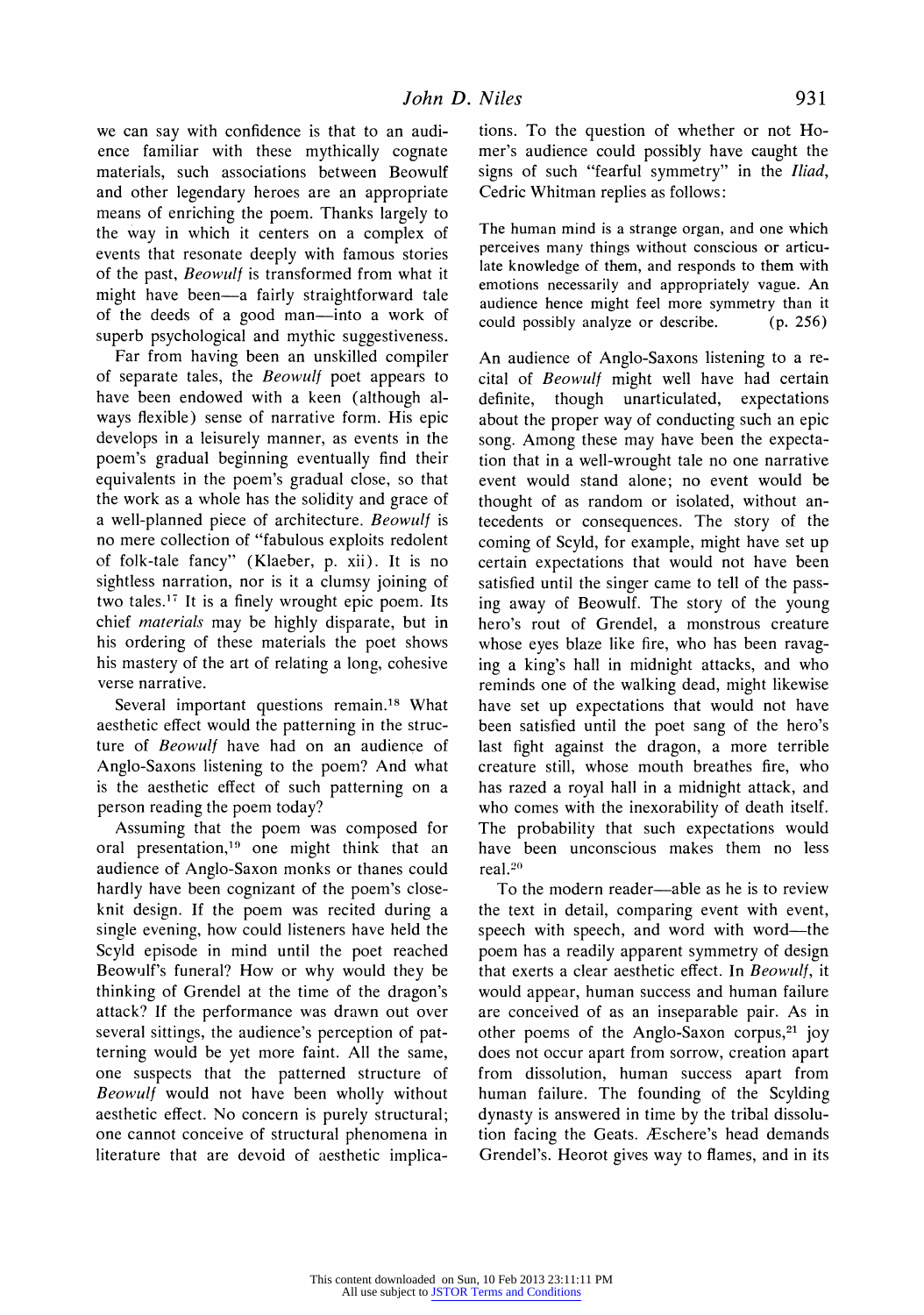**we can say with confidence is that to an audience familiar with these mythically cognate materials, such associations between Beowulf and other legendary heroes are an appropriate means of enriching the poem. Thanks largely to the way in which it centers on a complex of events that resonate deeply with famous stories of the past, Beowulf is transformed from what it might have been-a fairly straightforward tale of the deeds of a good man-into a work of superb psychological and mythic suggestiveness.** 

**Far from having been an unskilled compiler of separate tales, the Beowulf poet appears to have been endowed with a keen (although always flexible) sense of narrative form. His epic develops in a leisurely manner, as events in the poem's gradual beginning eventually find their equivalents in the poem's gradual close, so that the work as a whole has the solidity and grace of a well-planned piece of architecture. Beowulf is no mere collection of "fabulous exploits redolent of folk-tale fancy" (Klaeber, p. xii). It is no sightless narration, nor is it a clumsy joining of two tales.17 It is a finely wrought epic poem. Its chief materials may be highly disparate, but in his ordering of these materials the poet shows his mastery of the art of relating a long, cohesive verse narrative.** 

**Several important questions remain.18 What aesthetic effect would the patterning in the structure of Beowulf have had on an audience of Anglo-Saxons listening to the poem? And what is the aesthetic effect of such patterning on a person reading the poem today?** 

**Assuming that the poem was composed for oral presentation,'" one might think that an audience of Anglo-Saxon monks or thanes could hardly have been cognizant of the poem's closeknit design. If the poem was recited during a single evening, how could listeners have held the Scyld episode in mind until the poet reached Beowulf's funeral? How or why would they be thinking of Grendel at the time of the dragon's attack? If the performance was drawn out over several sittings, the audience's perception of patterning would be yet more faint. All the same, one suspects that the patterned structure of Beowulf would not have been wholly without aesthetic effect. No concern is purely structural; one cannot conceive of structural phenomena in literature that are devoid of aesthetic implica-**

**tions. To the question of whether or not Homer's audience could possibly have caught the signs of such "fearful symmetry" in the Iliad, Cedric Whitman replies as follows:** 

**The human mind is a strange organ, and one which perceives many things without conscious or articulate knowledge of them, and responds to them with emotions necessarily and appropriately vague. An audience hence might feel more symmetry than it**  could possibly analyze or describe.

**An audience of Anglo-Saxons listening to a recital of Beowulf might well have had certain definite, though unarticulated, expectations about the proper way of conducting such an epic song. Among these may have been the expectation that in a well-wrought tale no one narrative event would stand alone; no event would be thought of as random or isolated, without antecedents or consequences. The story of the coming of Scyld, for example, might have set up certain expectations that would not have been satisfied until the singer came to tell of the passing away of Beowulf. The story of the young hero's rout of Grendel, a monstrous creature whose eyes blaze like fire, who has been ravaging a king's hall in midnight attacks, and who reminds one of the walking dead, might likewise have set up expectations that would not have been satisfied until the poet sang of the hero's last fight against the dragon, a more terrible creature still, whose mouth breathes fire, who has razed a royal hall in a midnight attack, and who comes with the inexorability of death itself. The probability that such expectations would have been unconscious makes them no less real.20** 

**To the modern reader-able as he is to review the text in detail, comparing event with event,**  speech with speech, and word with word-the **poem has a readily apparent symmetry of design that exerts a clear aesthetic effect. In Beowulf, it would appear, human success and human failure are conceived of as an inseparable pair. As in other poems of the Anglo-Saxon corpus,21 joy does not occur apart from sorrow, creation apart from dissolution, human success apart from human failure. The founding of the Scylding dynasty is answered in time by the tribal dissolution facing the Geats. AEschere's head demands Grendel's. Heorot gives way to flames, and in its**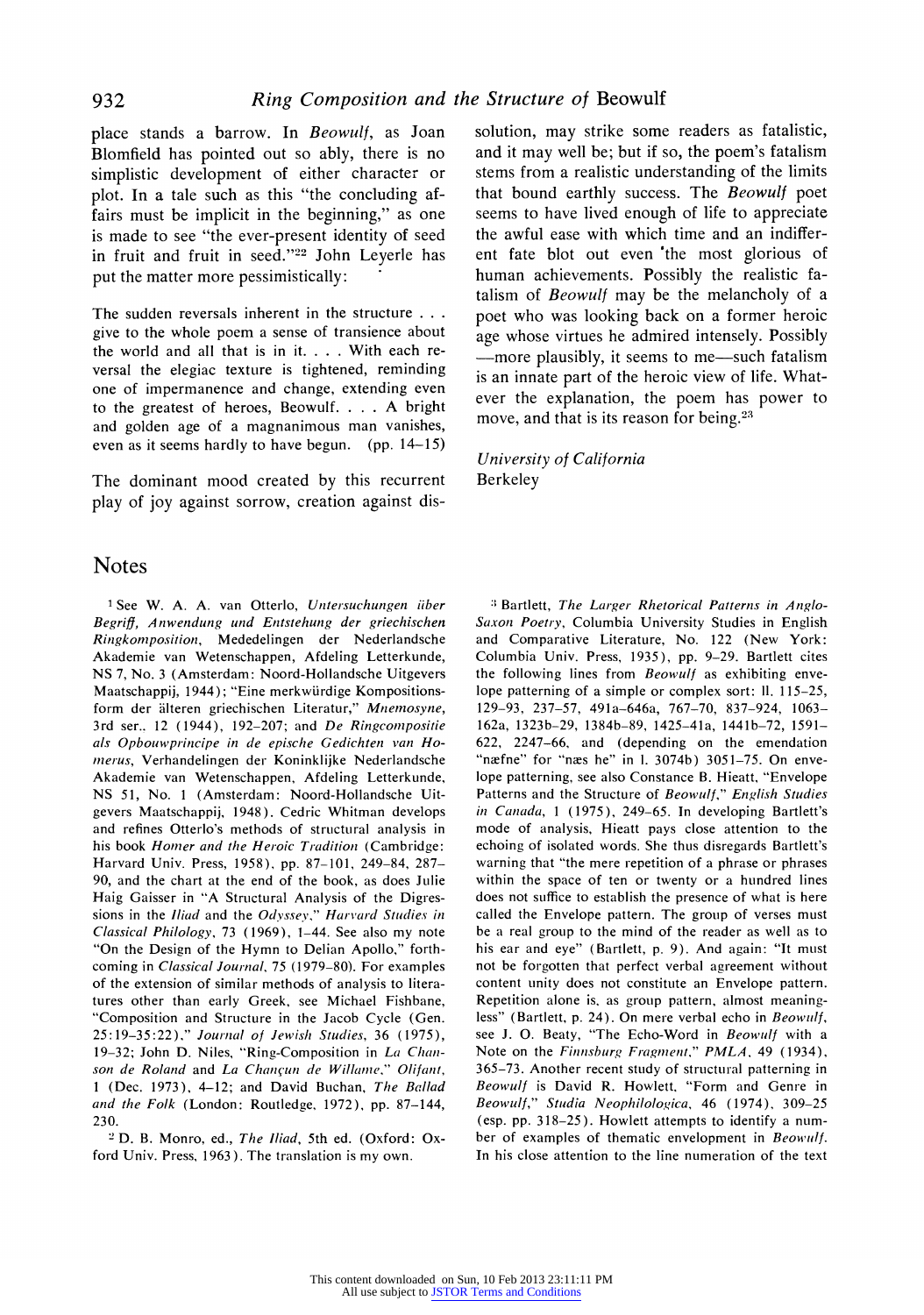**place stands a barrow. In Beowulf, as Joan Blomfield has pointed out so ably, there is no simplistic development of either character or plot. In a tale such as this "the concluding affairs must be implicit in the beginning," as one is made to see "the ever-present identity of seed in fruit and fruit in seed."22 John Leyerle has put the matter more pessimistically:** 

**The sudden reversals inherent in the structure . . . give to the whole poem a sense of transience about the world and all that is in it. ... With each reversal the elegiac texture is tightened, reminding one of impermanence and change, extending even to the greatest of heroes, Beowulf. ... A bright and golden age of a magnanimous man vanishes, even as it seems hardly to have begun. (pp. 14-15)** 

**The dominant mood created by this recurrent play of joy against sorrow, creation against dis-** **solution, may strike some readers as fatalistic, and it may well be; but if so, the poem's fatalism stems from a realistic understanding of the limits that bound earthly success. The Beowulf poet seems to have lived enough of life to appreciate the awful ease with which time and an indifferent fate blot out even 'the most glorious of human achievements. Possibly the realistic fatalism of Beowulf may be the melancholy of a poet who was looking back on a former heroic age whose virtues he admired intensely. Possibly -more plausibly, it seems to me-such fatalism is an innate part of the heroic view of life. Whatever the explanation, the poem has power to move, and that is its reason for being.23** 

# **University of California Berkeley**

# **Notes**

**1 See W. A. A. van Otterlo, Untersuchungen iiber Begriff, Anwendung und Entstehung der griechischen Ringkomnposition, Mededelingen der Nederlandsche Akademie van Wetenschappen, Afdeling Letterkunde, NS 7, No. 3 (Amsterdam: Noord-Hollandsche Uitgevers Maatschappij, 1944); "Eine merkwiirdige Kompositionsform der alteren griechischen Literatur," Mnemosyne, 3rd ser.. 12 (1944), 192-207; and De Ringcomzpositie als Opbouwprincipe in de epische Gedichten van Homierus, Verhandelingen der Koninklijke Nederlandsche Akademie van Wetenschappen, Afdeling Letterkunde, NS 51, No. 1 (Amsterdam: Noord-Hollandsche Uitgevers Maatschappij, 1948). Cedric Whitman develops and refines Otterlo's methods of structural analysis in his book Homer and the Heroic Tradition (Cambridge: Harvard Univ. Press, 1958), pp. 87-101, 249-84, 287- 90, and the chart at the end of the book, as does Julie Haig Gaisser in "A Structural Analysis of the Digressions in the Iliad and the Odyssey," Harvard Studies ini Classical Philology, 73 (1969), 1-44. See also my note "On the Design of the Hymn to Delian Apollo," forthcoming in Classical Journal, 75 (1979-80). For examples of the extension of similar methods of analysis to literatures other than early Greek, see Michael Fishbane, "Composition and Structure in the Jacob Cycle (Gen.**  25:19-35:22)," Journal of Jewish Studies, 36 (1975), 19-32; John D. Niles, "Ring-Composition in La Chanson de Roland and La Chançun de Willame," Olifant, **1 (Dec. 1973), 4-12; and David Buchan, The Ballad and the Folk (London: Routledge, 1972), pp. 87-144, 230.** 

**2 D. B. Monro, ed., The Iliad, 5th ed. (Oxford: Oxford Univ. Press, 1963). The translation is my own.** 

**:; Bartlett, The Larger Rhetorical Patterns in Anglo-Saxon Poetry, Columbia University Studies in English and Comparative Literature, No. 122 (New York: Columbia Univ. Press, 1935), pp. 9-29. Bartlett cites the following lines from Beowulf as exhibiting envelope patterning of a simple or complex sort: 11. 115-25, 129-93, 237-57, 491a-646a, 767-70, 837-924, 1063- 162a, 1323b-29, 1384b-89, 1425-41a, 1441b-72, 1591- 622, 2247-66, and (depending on the emendation**  "næfne" for "næs he" in 1. 3074b) 3051-75. On enve**lope patterning, see also Constance B. Hieatt, "Envelope Patterns and the Structure of Beowulf," English Studies in Canada, 1 (1975), 249-65. In developing Bartlett's mode of analysis, Hieatt pays close attention to the echoing of isolated words. She thus disregards Bartlett's warning that "the mere repetition of a phrase or phrases within the space of ten or twenty or a hundred lines does not suffice to establish the presence of what is here called the Envelope pattern. The group of verses must be a real group to the mind of the reader as well as to his ear and eye" (Bartlett, p. 9). And again: "It must not be forgotten that perfect verbal agreement without content unity does not constitute an Envelope pattern. Repetition alone is, as group pattern, almost meaningless" (Bartlett, p. 24). On mere verbal echo in Beowulf, see J. O. Beaty, "The Echo-Word in Beowulf with a Note on the Finnsburg Fragment," PMLA, 49 (1934), 365-73. Another recent study of structural patterning in Beowulf is David R. Howlett, "Form and Genre in Beowulf," Studia Neophilologica, 46 (1974), 309-25 (esp. pp. 318-25). Howlett attempts to identify a number of examples of thematic envelopment in Beowulf. In his close attention to the line numeration of the text**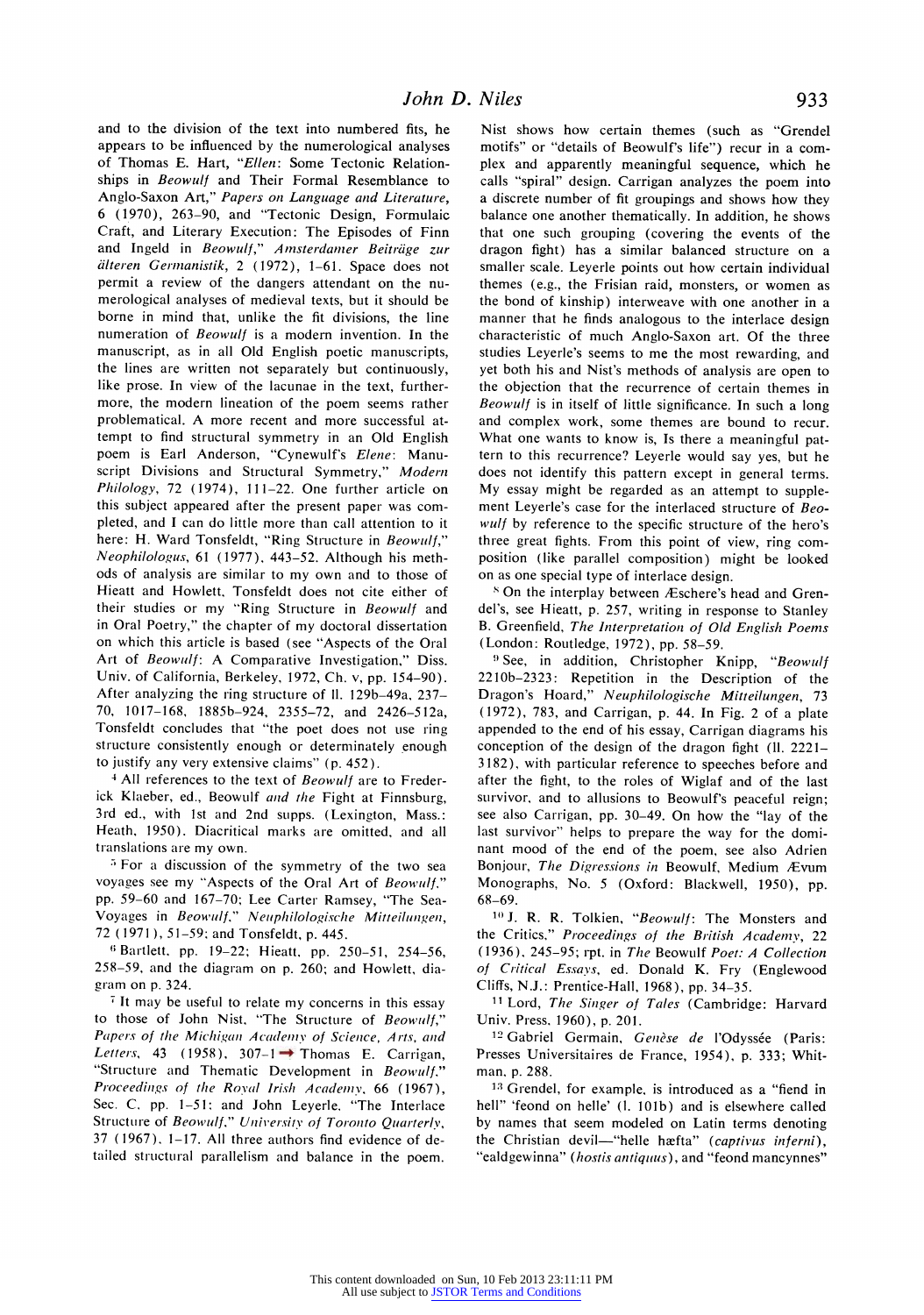**and to the division of the text into numbered fits, he appears to be influenced by the numerological analyses of Thomas E. Hart, "Ellen: Some Tectonic Relationships in Beowulf and Their Formal Resemblance to Anglo-Saxon Art," Papers on Language and Literature, 6 (1970), 263-90, and "Tectonic Design, Formulaic Craft, and Literary Execution: The Episodes of Finn**  and Ingeld in Beowulf," Amsterdamer Beiträge zur **alteren Germnanistik, 2 (1972), 1-61. Space does not permit a review of the dangers attendant on the numerological analyses of medieval texts, but it should be borne in mind that, unlike the fit divisions, the line numeration of Beowulf is a modem invention. In the manuscript, as in all Old English poetic manuscripts, the lines are written not separately but continuously, like prose. In view of the lacunae in the text, furthermore, the modern lineation of the poem seems rather problematical. A more recent and more successful attempt to find structural symmetry in an Old English**  poem is Earl Anderson, "Cynewulf's Elene: Manu**script Divisions and Structural Symmetry," Modern Philology, 72 (1974), 111-22. One further article on this subject appeared after the present paper was completed, and I can do little more than call attention to it here: H. Ward Tonsfeldt, "Ring Structure in Beowulf," Neophilologus, 61 (1977), 443-52. Although his methods of analysis are similar to my own and to those of Hieatt and Howlett, Tonsfeldt does not cite either of their studies or my "Ring Structure in Beowulf and in Oral Poetry," the chapter of my doctoral dissertation on which this article is based (see "Aspects of the Oral Art of Beowulf: A Comparative Investigation," Diss. Univ. of California, Berkeley, 1972, Ch. v, pp. 154-90). After analyzing the ring structure of 11. 129b-49a, 237- 70, 1017-168, 1885b-924, 2355-72, and 2426-512a, Tonsfeldt concludes that "the poet does not use ring structure consistently enough or determinately enough to justify any very extensive claims" (p. 452).** 

**4 All references to the text of Beowulf are to Frederick Klaeber, ed., Beowulf and the Fight at Finnsburg, 3rd ed., with 1st and 2nd supps. (Lexington, Mass.: Heath, 1950). Diacritical marks are omitted, and all translations are my own.** 

**: For a discussion of the symmetry of the two sea voyages see my "Aspects of the Oral Art of Beowulf." pp. 59-60 and 167-70; Lee Carter Ramsey, "The Sea-Voyages in Beowulf." Neuphilologische Mitteilungen, 72 (1971), 51-59: and Tonsfeldt, p. 445.** 

**; Bartlett. pp. 19-22; Hieatt, pp. 250-51, 254-56, 258-59, and the diagram on p. 260; and Howlett, diagram on p. 324.** 

**<sup>7</sup>It may be useful to relate my concerns in this essay to those of John Nist. "The Structure of Beowulf,"**  Papers of the Michigan Academy of Science, Arts, and Letters, 43 (1958),  $307-1 \rightarrow$  Thomas E. Carrigan, **"Structure and Thematic Development in Beowulf."**  Proceedings of the Royal Irish Academy, 66 (1967), **Sec. C. pp. 1-51: and John Leyerle, "The Interlace**  Structure of Beowulf," University of Toronto Quarterly, **37 (1967), 1-17. All three authors find evidence of detailed structural parallelism and balance in the poem.** 

**Nist shows how certain themes (such as "Grendel motifs" or "details of Beowulf's life") recur in a complex and apparently meaningful sequence, which he calls "spiral" design. Carrigan analyzes the poem into a discrete number of fit groupings and shows how they balance one another thematically. In addition, he shows that one such grouping (covering the events of the dragon fight) has a similar balanced structure on a smaller scale. Leyerle points out how certain individual themes (e.g., the Frisian raid, monsters, or women as the bond of kinship) interweave with one another in a manner that he finds analogous to the interlace design characteristic of much Anglo-Saxon art. Of the three studies Leyerle's seems to me the most rewarding, and yet both his and Nist's methods of analysis are open to the objection that the recurrence of certain themes in Beowulf is in itself of little significance. In such a long and complex work, some themes are bound to recur. What one wants to know is, Is there a meaningful pattern to this recurrence? Leyerle would say yes, but he does not identify this pattern except in general terms. My essay might be regarded as an attempt to supplement Leyerle's case for the interlaced structure of Beowulf by reference to the specific structure of the hero's three great fights. From this point of view, ring composition (like parallel composition) might be looked on as one special type of interlace design.** 

**S On the interplay between AEschere's head and Grendel's, see Hieatt, p. 257, writing in response to Stanley B. Greenfield, The Interpretation of Old English Poems (London: Routledge, 1972), pp. 58-59.** 

**) See, in addition, Christopher Knipp, "Beowulf 2210b-2323: Repetition in the Description of the Dragon's Hoard," Neuphilologische Mitteilungen, 73 (1972), 783, and Carrigan, p. 44. In Fig. 2 of a plate appended to the end of his essay, Carrigan diagrams his conception of the design of the dragon fight (11. 2221- 3182), with particular reference to speeches before and after the fight, to the roles of Wiglaf and of the last survivor, and to allusions to Beowulf's peaceful reign; see also Carrigan, pp. 30-49. On how the "lay of the last survivor" helps to prepare the way for the dominant mood of the end of the poem, see also Adrien Bonjour, The Digressions in Beowulf, Medium AEvum Monographs, No. 5 (Oxford: Blackwell, 1950), pp. 68-69.** 

**1' J. R. R. Tolkien, "Beowulf: The Monsters and the Critics," Proceedings of the British Academy, 22 (1936), 245-95; rpt. in The Beowulf Poet: A Collection of Critical Essays, ed. Donald K. Fry (Englewood Cliffs, N.J.: Prentice-Hall, 1968), pp. 34-35.** 

**11 Lord, The Singer of Tales (Cambridge: Harvard Univ. Press. 1960), p. 201.** 

<sup>12</sup> Gabriel Germain, Genèse de l'Odyssée (Paris: **Presses Universitaires de France, 1954), p. 333; Whitman, p. 288.** 

**13 Grendel, for example, is introduced as a "fiend in**  hell" 'feond on helle' (l. 101b) and is elsewhere called **by names that seem modeled on Latin terms denoting the Christian devil-"helle haefta" (captivus inferni),**  "ealdgewinna" (hostis antiquus), and "feond mancynnes"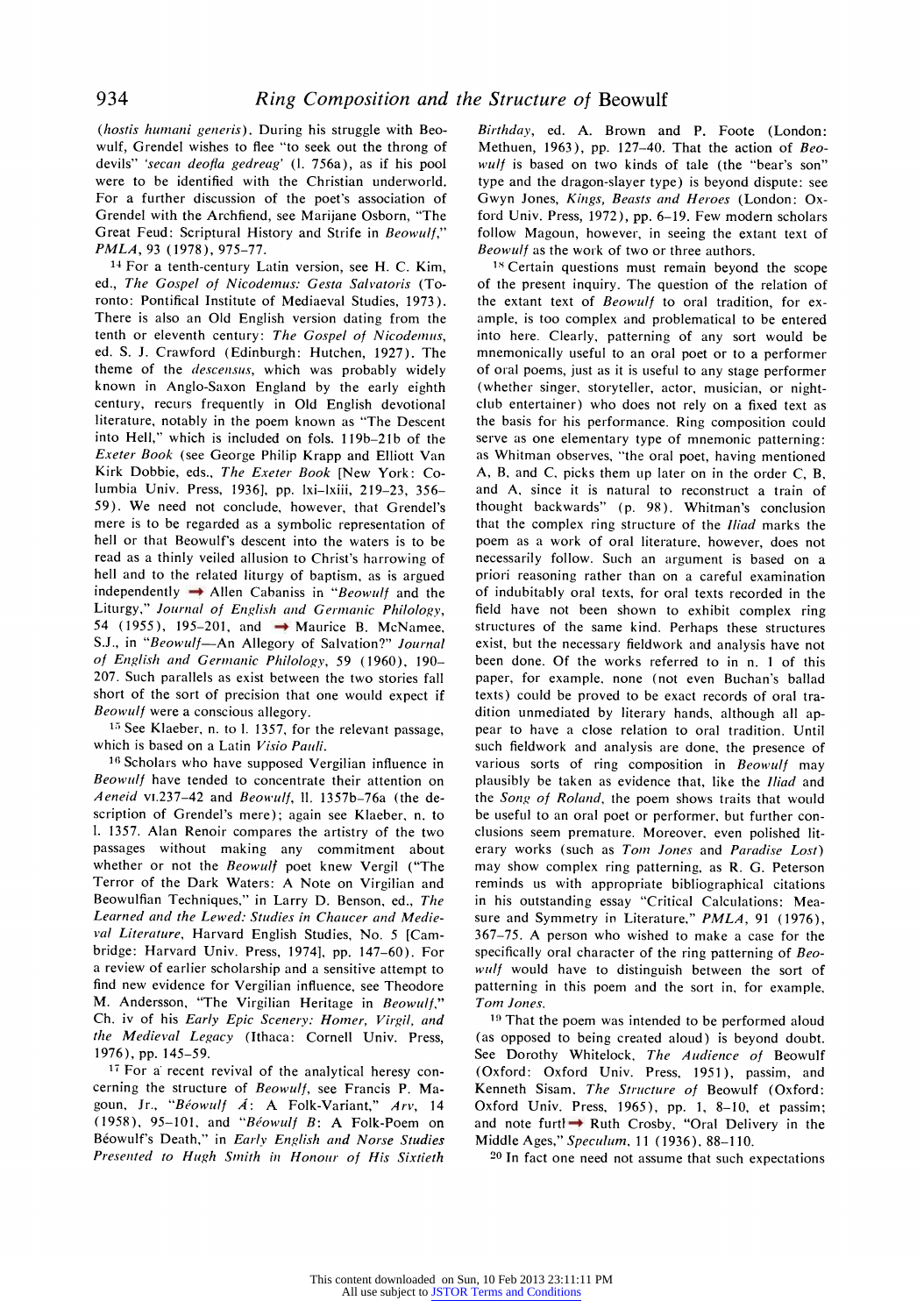**(hostis humani generis). During his struggle with Beowulf, Grendel wishes to flee "to seek out the throng of devils" 'secan deofla gedreag' (1. 756a), as if his pool were to be identified with the Christian underworld. For a further discussion of the poet's association of Grendel with the Archfiend, see Marijane Osborn, "The Great Feud: Scriptural History and Strife in Beowulf," PMLA, 93 (1978), 975-77.** 

**14 For a tenth-century Latin version, see H. C. Kim,**  ed., The Gospel of Nicodemus: Gesta Salvatoris (To**ronto: Pontifical Institute of Mediaeval Studies, 1973). There is also an Old English version dating from the**  tenth or eleventh century: The Gospel of Nicodemus, **ed. S. J. Crawford (Edinburgh: Hutchen, 1927). The theme of the descensus, which was probably widely known in Anglo-Saxon England by the early eighth century, recurs frequently in Old English devotional literature, notably in the poem known as "The Descent into Hell," which is included on fols. 119b-21b of the Exeter Book (see George Philip Krapp and Elliott Van Kirk Dobbie, eds., The Exeter Book [New York: Columbia Univ. Press, 1936], pp. Ixi-lxiii, 219-23, 356- 59). We need not conclude, however, that Grendel's mere is to be regarded as a symbolic representation of hell or that Beowulf's descent into the waters is to be read as a thinly veiled allusion to Christ's harrowing of hell and to the related liturgy of baptism, as is argued**  independently  $\rightarrow$  Allen Cabaniss in "Beowulf and the Liturgy," Journal of English and Germanic Philology, 54 (1955), 195-201, and  $\rightarrow$  Maurice B. McNamee, S.J., in "Beowulf-An Allegory of Salvation?" Journal **of English and Germanic Philology, 59 (1960), 190- 207. Such parallels as exist between the two stories fall short of the sort of precision that one would expect if Beowulf were a conscious allegory.** 

<sup>15</sup> See Klaeber, n. to l. 1357, for the relevant passage, which is based on a Latin Visio Pauli.

**16 Scholars who have supposed Vergilian influence in Beowulf have tended to concentrate their attention on Aeneid vi.237-42 and Beowulf, 11. 1357b-76a (the description of Grendel's mere); again see Klaeber, n. to 1. 1357. Alan Renoir compares the artistry of the two passages without making any commitment about whether or not the Beowulf poet knew Vergil ("The Terror of the Dark Waters: A Note on Virgilian and Beowulfian Techniques," in Larry D. Benson, ed., The Learned and the Lewed: Studies in Chaucer and Medieval Literature, Harvard English Studies, No. 5 [Cambridge: Harvard Univ. Press, 1974], pp. 147-60). For a review of earlier scholarship and a sensitive attempt to find new evidence for Vergilian influence, see Theodore M. Andersson, "The Virgilian Heritage in Beowulf," Ch. iv of his Early Epic Scenery: Homer, Virgil, and the Medieval Legacy (Ithaca: Cornell Univ. Press, 1976), pp. 145-59.** 

**17 For a recent revival of the analytical heresy concerning the structure of Beowulf, see Francis P. Magoun, Jr., "Beowulf A: A Folk-Variant," Arv, 14 (1958), 95-101, and "Beowulf B: A Folk-Poem on Beowulf's Death," in Early English and Norse Studies**  Presented to Hugh Smith in Honour of His Sixtieth **Birthday, ed. A. Brown and P. Foote (London: Methuen, 1963), pp. 127-40. That the action of Beowulf is based on two kinds of tale (the "bear's son" type and the dragon-slayer type) is beyond dispute: see Gwyn Jones, Kings, Beasts and Heroes (London: Oxford Univ. Press, 1972), pp. 6-19. Few modern scholars follow Magoun, however, in seeing the extant text of Beowulf as the work of two or three authors.** 

<sup>18</sup> Certain questions must remain beyond the scope **of the present inquiry. The question of the relation of the extant text of Beowulf to oral tradition, for example, is too complex and problematical to be entered into here. Clearly, patterning of any sort would be mnemonically useful to an oral poet or to a performer of oral poems, just as it is useful to any stage performer (whether singer, storyteller, actor, musician, or nightclub entertainer) who does not rely on a fixed text as the basis for his performance. Ring composition could serve as one elementary type of mnemonic patterning: as Whitman observes, "the oral poet, having mentioned A, B, and C, picks them up later on in the order C, B, and A, since it is natural to reconstruct a train of thought backwards" (p. 98). Whitman's conclusion that the complex ring structure of the Iliad marks the poem as a work of oral literature, however, does not necessarily follow. Such an argument is based on a priori reasoning rather than on a careful examination of indubitably oral texts, for oral texts recorded in the field have not been shown to exhibit complex ring structures of the same kind. Perhaps these structures exist, but the necessary fieldwork and analysis have not been done. Of the works referred to in n. 1 of this paper, for example, none (not even Buchan's ballad texts) could be proved to be exact records of oral tradition unmediated by literary hands, although all appear to have a close relation to oral tradition. Until such fieldwork and analysis are done, the presence of various sorts of ring composition in Beowulf may plausibly be taken as evidence that, like the Iliad and the Song of Roland, the poem shows traits that would be useful to an oral poet or performer, but further conclusions seem premature. Moreover, even polished literary works (such as Tom Jones and Paradise Lost) may show complex ring patterning, as R. G. Peterson reminds us with appropriate bibliographical citations in his outstanding essay "Critical Calculations: Measure and Symmetry in Literature," PMLA, 91 (1976), 367-75. A person who wished to make a case for the specifically oral character of the ring patterning of Beowulf would have to distinguish between the sort of patterning in this poem and the sort in, for example, Tom Jones.** 

<sup>19</sup> That the poem was intended to be performed aloud **(as opposed to being created aloud) is beyond doubt. See Dorothy Whitelock, The Audience of Beowulf (Oxford: Oxford Univ. Press, 1951), passim, and Kenneth Sisam, The Structure of Beowulf (Oxford: Oxford Univ. Press, 1965), pp. 1, 8-10, et passim;**  and note furtl  $\rightarrow$  Ruth Crosby, "Oral Delivery in the **Middle Ages," Speculum, 11 (1936), 88-110.** 

**<sup>20</sup>In fact one need not assume that such expectations**